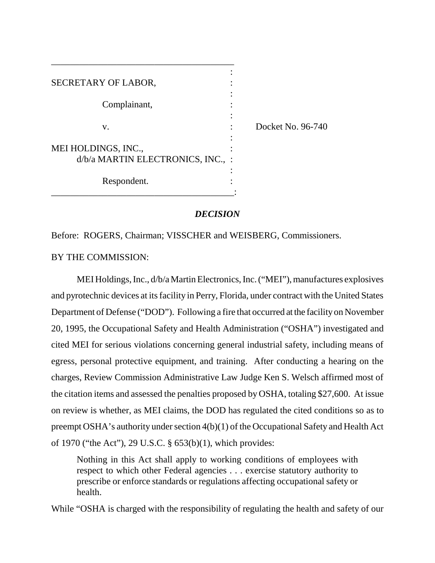| SECRETARY OF LABOR,                                      |                   |
|----------------------------------------------------------|-------------------|
| Complainant,                                             |                   |
| V.                                                       | Docket No. 96-740 |
| MEI HOLDINGS, INC.,<br>d/b/a MARTIN ELECTRONICS, INC., : |                   |
| Respondent.                                              |                   |

\_\_\_\_\_\_\_\_\_\_\_\_\_\_\_\_\_\_\_\_\_\_\_\_\_\_\_\_\_\_\_\_\_\_\_\_\_\_\_

# *DECISION*

Before: ROGERS, Chairman; VISSCHER and WEISBERG, Commissioners.

BY THE COMMISSION:

MEI Holdings, Inc., d/b/a Martin Electronics, Inc. ("MEI"), manufactures explosives and pyrotechnic devices at its facility in Perry, Florida, under contract with the United States Department of Defense ("DOD"). Following a fire that occurred at the facility on November 20, 1995, the Occupational Safety and Health Administration ("OSHA") investigated and cited MEI for serious violations concerning general industrial safety, including means of egress, personal protective equipment, and training. After conducting a hearing on the charges, Review Commission Administrative Law Judge Ken S. Welsch affirmed most of the citation items and assessed the penalties proposed by OSHA, totaling \$27,600. At issue on review is whether, as MEI claims, the DOD has regulated the cited conditions so as to preempt OSHA's authority under section 4(b)(1) of the Occupational Safety and Health Act of 1970 ("the Act"), 29 U.S.C. § 653(b)(1), which provides:

Nothing in this Act shall apply to working conditions of employees with respect to which other Federal agencies . . . exercise statutory authority to prescribe or enforce standards or regulations affecting occupational safety or health.

While "OSHA is charged with the responsibility of regulating the health and safety of our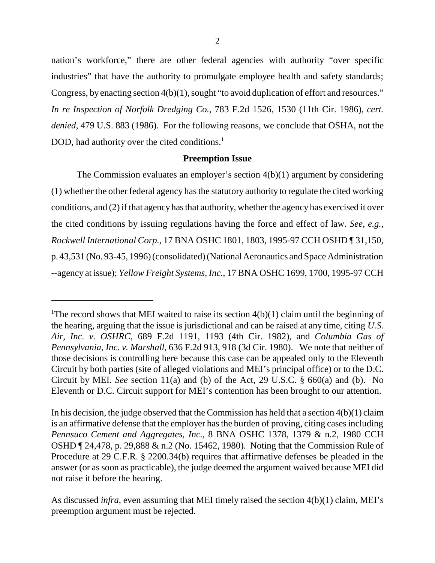nation's workforce," there are other federal agencies with authority "over specific industries" that have the authority to promulgate employee health and safety standards; Congress, by enacting section 4(b)(1), sought "to avoid duplication of effort and resources." *In re Inspection of Norfolk Dredging Co.*, 783 F.2d 1526, 1530 (11th Cir. 1986), *cert. denied*, 479 U.S. 883 (1986). For the following reasons, we conclude that OSHA, not the DOD, had authority over the cited conditions.<sup>1</sup>

# **Preemption Issue**

The Commission evaluates an employer's section 4(b)(1) argument by considering (1) whether the other federal agency has the statutory authority to regulate the cited working conditions, and (2) if that agency has that authority, whether the agency has exercised it over the cited conditions by issuing regulations having the force and effect of law. *See, e.g., Rockwell International Corp.*, 17 BNA OSHC 1801, 1803, 1995-97 CCH OSHD ¶ 31,150, p. 43,531 (No. 93-45, 1996) (consolidated) (National Aeronautics and Space Administration --agency at issue); *Yellow Freight Systems, Inc.*, 17 BNA OSHC 1699, 1700, 1995-97 CCH

<sup>&</sup>lt;sup>1</sup>The record shows that MEI waited to raise its section  $4(b)(1)$  claim until the beginning of the hearing, arguing that the issue is jurisdictional and can be raised at any time, citing *U.S. Air, Inc. v. OSHRC*, 689 F.2d 1191, 1193 (4th Cir. 1982), and *Columbia Gas of Pennsylvania, Inc. v. Marshall*, 636 F.2d 913, 918 (3d Cir. 1980). We note that neither of those decisions is controlling here because this case can be appealed only to the Eleventh Circuit by both parties (site of alleged violations and MEI's principal office) or to the D.C. Circuit by MEI. *See* section 11(a) and (b) of the Act, 29 U.S.C. § 660(a) and (b). No Eleventh or D.C. Circuit support for MEI's contention has been brought to our attention.

In his decision, the judge observed that the Commission has held that a section  $4(b)(1)$  claim is an affirmative defense that the employer has the burden of proving, citing cases including *Pennsuco Cement and Aggregates, Inc.*, 8 BNA OSHC 1378, 1379 & n.2, 1980 CCH OSHD ¶ 24,478, p. 29,888 & n.2 (No. 15462, 1980). Noting that the Commission Rule of Procedure at 29 C.F.R. § 2200.34(b) requires that affirmative defenses be pleaded in the answer (or as soon as practicable), the judge deemed the argument waived because MEI did not raise it before the hearing.

As discussed *infra*, even assuming that MEI timely raised the section 4(b)(1) claim, MEI's preemption argument must be rejected.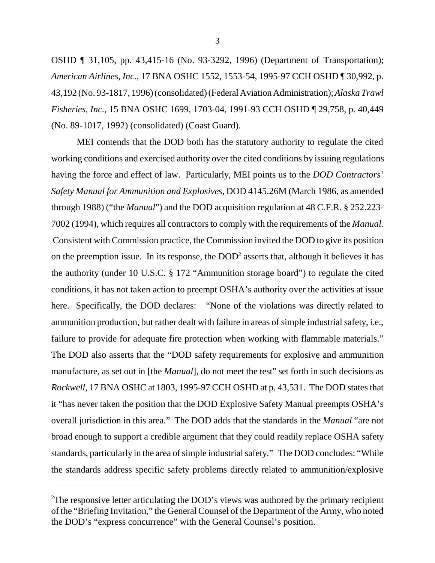OSHD ¶ 31,105, pp. 43,415-16 (No. 93-3292, 1996) (Department of Transportation); *American Airlines, Inc.*, 17 BNA OSHC 1552, 1553-54, 1995-97 CCH OSHD ¶ 30,992, p. 43,192 (No. 93-1817, 1996) (consolidated) (Federal Aviation Administration); *Alaska Trawl Fisheries, Inc.*, 15 BNA OSHC 1699, 1703-04, 1991-93 CCH OSHD ¶ 29,758, p. 40,449 (No. 89-1017, 1992) (consolidated) (Coast Guard).

MEI contends that the DOD both has the statutory authority to regulate the cited working conditions and exercised authority over the cited conditions by issuing regulations having the force and effect of law. Particularly, MEI points us to the *DOD Contractors' Safety Manual for Ammunition and Explosives*, DOD 4145.26M (March 1986, as amended through 1988) ("the *Manual*") and the DOD acquisition regulation at 48 C.F.R. § 252.223- 7002 (1994), which requires all contractors to comply with the requirements of the *Manual.* Consistent with Commission practice, the Commission invited the DOD to give its position on the preemption issue. In its response, the  $\text{DOD}^2$  asserts that, although it believes it has the authority (under 10 U.S.C. § 172 "Ammunition storage board") to regulate the cited conditions, it has not taken action to preempt OSHA's authority over the activities at issue here. Specifically, the DOD declares: "None of the violations was directly related to ammunition production, but rather dealt with failure in areas of simple industrial safety, i.e., failure to provide for adequate fire protection when working with flammable materials." The DOD also asserts that the "DOD safety requirements for explosive and ammunition manufacture, as set out in [the *Manual*], do not meet the test" set forth in such decisions as *Rockwell*, 17 BNA OSHC at 1803, 1995-97 CCH OSHD at p. 43,531. The DOD states that it "has never taken the position that the DOD Explosive Safety Manual preempts OSHA's overall jurisdiction in this area." The DOD adds that the standards in the *Manual* "are not broad enough to support a credible argument that they could readily replace OSHA safety standards, particularly in the area of simple industrial safety." The DOD concludes: "While the standards address specific safety problems directly related to ammunition/explosive

<sup>&</sup>lt;sup>2</sup>The responsive letter articulating the DOD's views was authored by the primary recipient of the "Briefing Invitation," the General Counsel of the Department of the Army, who noted the DOD's "express concurrence" with the General Counsel's position.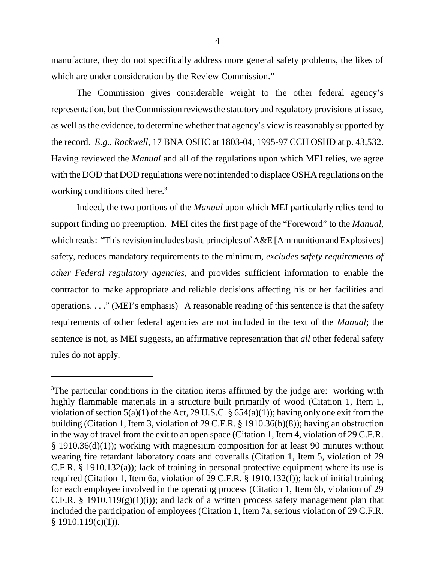manufacture, they do not specifically address more general safety problems, the likes of which are under consideration by the Review Commission."

The Commission gives considerable weight to the other federal agency's representation, but the Commission reviews the statutory and regulatory provisions at issue, as well as the evidence, to determine whether that agency's view is reasonably supported by the record. *E.g., Rockwell*, 17 BNA OSHC at 1803-04, 1995-97 CCH OSHD at p. 43,532. Having reviewed the *Manual* and all of the regulations upon which MEI relies, we agree with the DOD that DOD regulations were not intended to displace OSHA regulations on the working conditions cited here.<sup>3</sup>

Indeed, the two portions of the *Manual* upon which MEI particularly relies tend to support finding no preemption. MEI cites the first page of the "Foreword" to the *Manual*, which reads: "This revision includes basic principles of  $A&E$  [Ammunition and Explosives] safety, reduces mandatory requirements to the minimum, *excludes safety requirements of other Federal regulatory agencies*, and provides sufficient information to enable the contractor to make appropriate and reliable decisions affecting his or her facilities and operations. . . ." (MEI's emphasis) A reasonable reading of this sentence is that the safety requirements of other federal agencies are not included in the text of the *Manual*; the sentence is not, as MEI suggests, an affirmative representation that *all* other federal safety rules do not apply.

<sup>&</sup>lt;sup>3</sup>The particular conditions in the citation items affirmed by the judge are: working with highly flammable materials in a structure built primarily of wood (Citation 1, Item 1, violation of section  $5(a)(1)$  of the Act, 29 U.S.C. §  $654(a)(1)$ ; having only one exit from the building (Citation 1, Item 3, violation of 29 C.F.R. § 1910.36(b)(8)); having an obstruction in the way of travel from the exit to an open space (Citation 1, Item 4, violation of 29 C.F.R. § 1910.36(d)(1)); working with magnesium composition for at least 90 minutes without wearing fire retardant laboratory coats and coveralls (Citation 1, Item 5, violation of 29 C.F.R. § 1910.132(a)); lack of training in personal protective equipment where its use is required (Citation 1, Item 6a, violation of 29 C.F.R. § 1910.132(f)); lack of initial training for each employee involved in the operating process (Citation 1, Item 6b, violation of 29 C.F.R. § 1910.119 $(g)(1)(i)$ ; and lack of a written process safety management plan that included the participation of employees (Citation 1, Item 7a, serious violation of 29 C.F.R.  $§ 1910.119(c)(1)).$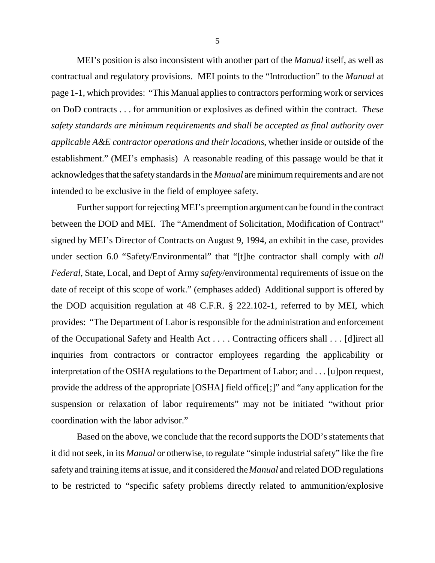MEI's position is also inconsistent with another part of the *Manual* itself, as well as contractual and regulatory provisions. MEI points to the "Introduction" to the *Manual* at page 1-1, which provides: "This Manual applies to contractors performing work or services on DoD contracts . . . for ammunition or explosives as defined within the contract. *These safety standards are minimum requirements and shall be accepted as final authority over applicable A&E contractor operations and their locations*, whether inside or outside of the establishment." (MEI's emphasis) A reasonable reading of this passage would be that it acknowledges that the safety standards in the *Manual* are minimum requirements and are not intended to be exclusive in the field of employee safety.

Further support for rejecting MEI's preemption argument can be found in the contract between the DOD and MEI. The "Amendment of Solicitation, Modification of Contract" signed by MEI's Director of Contracts on August 9, 1994, an exhibit in the case, provides under section 6.0 "Safety/Environmental" that "[t]he contractor shall comply with *all Federal*, State, Local, and Dept of Army *safety*/environmental requirements of issue on the date of receipt of this scope of work." (emphases added) Additional support is offered by the DOD acquisition regulation at 48 C.F.R. § 222.102-1, referred to by MEI, which provides: "The Department of Labor is responsible for the administration and enforcement of the Occupational Safety and Health Act . . . . Contracting officers shall . . . [d]irect all inquiries from contractors or contractor employees regarding the applicability or interpretation of the OSHA regulations to the Department of Labor; and . . . [u]pon request, provide the address of the appropriate [OSHA] field office[;]" and "any application for the suspension or relaxation of labor requirements" may not be initiated "without prior coordination with the labor advisor."

Based on the above, we conclude that the record supports the DOD's statements that it did not seek, in its *Manual* or otherwise, to regulate "simple industrial safety" like the fire safety and training items at issue, and it considered the *Manual* and related DOD regulations to be restricted to "specific safety problems directly related to ammunition/explosive

5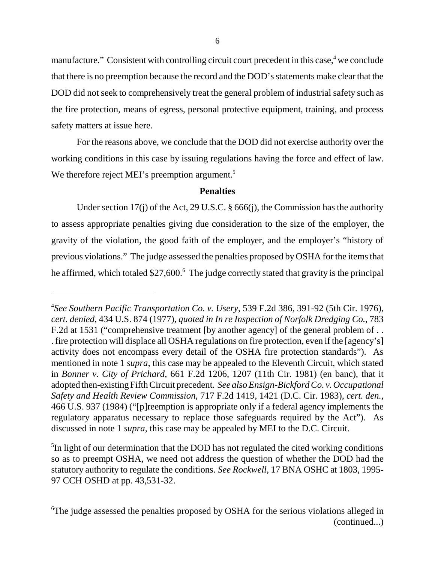manufacture." Consistent with controlling circuit court precedent in this case,<sup>4</sup> we conclude that there is no preemption because the record and the DOD's statements make clear that the DOD did not seek to comprehensively treat the general problem of industrial safety such as the fire protection, means of egress, personal protective equipment, training, and process safety matters at issue here.

For the reasons above, we conclude that the DOD did not exercise authority over the working conditions in this case by issuing regulations having the force and effect of law. We therefore reject MEI's preemption argument.<sup>5</sup>

# **Penalties**

Under section 17(j) of the Act, 29 U.S.C. § 666(j), the Commission has the authority to assess appropriate penalties giving due consideration to the size of the employer, the gravity of the violation, the good faith of the employer, and the employer's "history of previous violations." The judge assessed the penalties proposed by OSHA for the items that he affirmed, which totaled \$27,600.<sup>6</sup> The judge correctly stated that gravity is the principal

<sup>5</sup>In light of our determination that the DOD has not regulated the cited working conditions so as to preempt OSHA, we need not address the question of whether the DOD had the statutory authority to regulate the conditions. *See Rockwell*, 17 BNA OSHC at 1803, 1995- 97 CCH OSHD at pp. 43,531-32.

<sup>4</sup> *See Southern Pacific Transportation Co. v. Usery*, 539 F.2d 386, 391-92 (5th Cir. 1976), *cert. denied*, 434 U.S. 874 (1977), *quoted in In re Inspection of Norfolk Dredging Co.*, 783 F.2d at 1531 ("comprehensive treatment [by another agency] of the general problem of . . . fire protection will displace all OSHA regulations on fire protection, even if the [agency's] activity does not encompass every detail of the OSHA fire protection standards"). As mentioned in note 1 *supra*, this case may be appealed to the Eleventh Circuit, which stated in *Bonner v. City of Prichard*, 661 F.2d 1206, 1207 (11th Cir. 1981) (en banc), that it adopted then-existing Fifth Circuit precedent. *See also Ensign-Bickford Co. v. Occupational Safety and Health Review Commission*, 717 F.2d 1419, 1421 (D.C. Cir. 1983), *cert. den.*, 466 U.S. 937 (1984) ("[p]reemption is appropriate only if a federal agency implements the regulatory apparatus necessary to replace those safeguards required by the Act"). As discussed in note 1 *supra*, this case may be appealed by MEI to the D.C. Circuit.

<sup>6</sup> The judge assessed the penalties proposed by OSHA for the serious violations alleged in (continued...)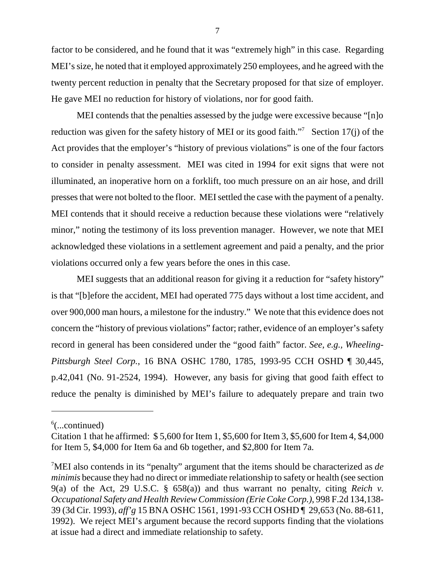factor to be considered, and he found that it was "extremely high" in this case. Regarding MEI's size, he noted that it employed approximately 250 employees, and he agreed with the twenty percent reduction in penalty that the Secretary proposed for that size of employer. He gave MEI no reduction for history of violations, nor for good faith.

MEI contends that the penalties assessed by the judge were excessive because "[n]o reduction was given for the safety history of MEI or its good faith."<sup>7</sup> Section 17(j) of the Act provides that the employer's "history of previous violations" is one of the four factors to consider in penalty assessment. MEI was cited in 1994 for exit signs that were not illuminated, an inoperative horn on a forklift, too much pressure on an air hose, and drill presses that were not bolted to the floor. MEI settled the case with the payment of a penalty. MEI contends that it should receive a reduction because these violations were "relatively minor," noting the testimony of its loss prevention manager. However, we note that MEI acknowledged these violations in a settlement agreement and paid a penalty, and the prior violations occurred only a few years before the ones in this case.

MEI suggests that an additional reason for giving it a reduction for "safety history" is that "[b]efore the accident, MEI had operated 775 days without a lost time accident, and over 900,000 man hours, a milestone for the industry." We note that this evidence does not concern the "history of previous violations" factor; rather, evidence of an employer's safety record in general has been considered under the "good faith" factor. *See, e.g., Wheeling-Pittsburgh Steel Corp.*, 16 BNA OSHC 1780, 1785, 1993-95 CCH OSHD ¶ 30,445, p.42,041 (No. 91-2524, 1994). However, any basis for giving that good faith effect to reduce the penalty is diminished by MEI's failure to adequately prepare and train two

 $6$ (...continued)

Citation 1 that he affirmed: \$ 5,600 for Item 1, \$5,600 for Item 3, \$5,600 for Item 4, \$4,000 for Item 5, \$4,000 for Item 6a and 6b together, and \$2,800 for Item 7a.

<sup>7</sup> MEI also contends in its "penalty" argument that the items should be characterized as *de minimis* because they had no direct or immediate relationship to safety or health (see section 9(a) of the Act, 29 U.S.C. § 658(a)) and thus warrant no penalty, citing *Reich v. Occupational Safety and Health Review Commission (Erie Coke Corp.)*, 998 F.2d 134,138- 39 (3d Cir. 1993), *aff'g* 15 BNA OSHC 1561, 1991-93 CCH OSHD ¶ 29,653 (No. 88-611, 1992). We reject MEI's argument because the record supports finding that the violations at issue had a direct and immediate relationship to safety.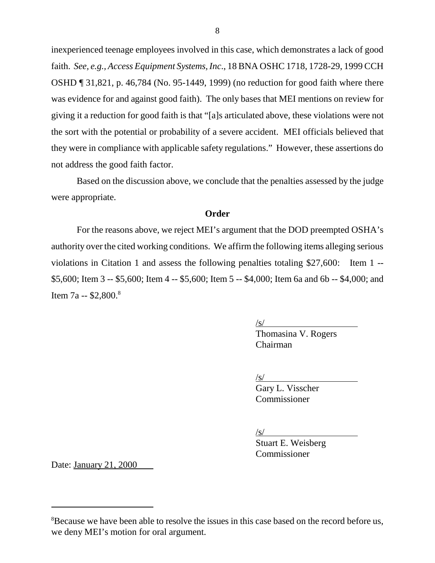inexperienced teenage employees involved in this case, which demonstrates a lack of good faith. *See, e.g., Access Equipment Systems, Inc*., 18 BNA OSHC 1718, 1728-29, 1999 CCH OSHD ¶ 31,821, p. 46,784 (No. 95-1449, 1999) (no reduction for good faith where there was evidence for and against good faith). The only bases that MEI mentions on review for giving it a reduction for good faith is that "[a]s articulated above, these violations were not the sort with the potential or probability of a severe accident. MEI officials believed that they were in compliance with applicable safety regulations." However, these assertions do not address the good faith factor.

Based on the discussion above, we conclude that the penalties assessed by the judge were appropriate.

## **Order**

For the reasons above, we reject MEI's argument that the DOD preempted OSHA's authority over the cited working conditions. We affirm the following items alleging serious violations in Citation 1 and assess the following penalties totaling \$27,600: Item 1 -- \$5,600; Item 3 -- \$5,600; Item 4 -- \$5,600; Item 5 -- \$4,000; Item 6a and 6b -- \$4,000; and Item 7a --  $$2,800.<sup>8</sup>$ 

 $\sqrt{s/}$ 

Thomasina V. Rogers Chairman

 $\sqrt{s}$ /

Gary L. Visscher Commissioner

/s/

Stuart E. Weisberg Commissioner

Date: January 21, 2000

<sup>&</sup>lt;sup>8</sup>Because we have been able to resolve the issues in this case based on the record before us, we deny MEI's motion for oral argument.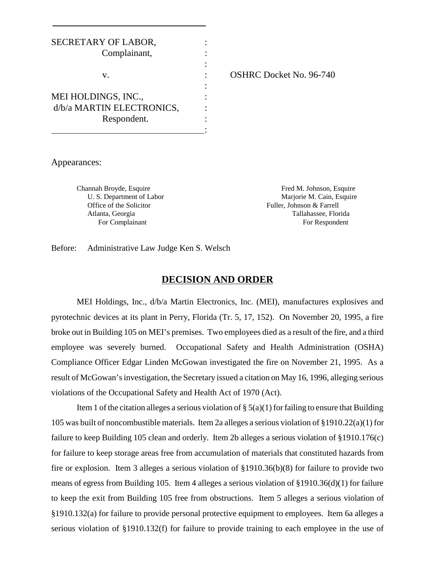| SECRETARY OF LABOR,       |  |
|---------------------------|--|
| Complainant,              |  |
|                           |  |
| V.                        |  |
|                           |  |
| MEI HOLDINGS, INC.,       |  |
| d/b/a MARTIN ELECTRONICS, |  |
| Respondent.               |  |
|                           |  |

: OSHRC Docket No. 96-740

Appearances:

Channah Broyde, Esquire Fred M. Johnson, Esquire Fred M. Johnson, Esquire U. S. Department of Labor Mariorie M. Cain, Esquire Office of the Solicitor **Fuller**, Johnson & Farrell Atlanta, Georgia Tallahassee, Florida For Complainant For Respondent

Before: Administrative Law Judge Ken S. Welsch

## **DECISION AND ORDER**

MEI Holdings, Inc., d/b/a Martin Electronics, Inc. (MEI), manufactures explosives and pyrotechnic devices at its plant in Perry, Florida (Tr. 5, 17, 152). On November 20, 1995, a fire broke out in Building 105 on MEI's premises. Two employees died as a result of the fire, and a third employee was severely burned. Occupational Safety and Health Administration (OSHA) Compliance Officer Edgar Linden McGowan investigated the fire on November 21, 1995. As a result of McGowan's investigation, the Secretary issued a citation on May 16, 1996, alleging serious violations of the Occupational Safety and Health Act of 1970 (Act).

Item 1 of the citation alleges a serious violation of  $\S(6)(1)$  for failing to ensure that Building 105 was built of noncombustible materials. Item 2a alleges a serious violation of §1910.22(a)(1) for failure to keep Building 105 clean and orderly. Item 2b alleges a serious violation of §1910.176(c) for failure to keep storage areas free from accumulation of materials that constituted hazards from fire or explosion. Item 3 alleges a serious violation of §1910.36(b)(8) for failure to provide two means of egress from Building 105. Item 4 alleges a serious violation of §1910.36(d)(1) for failure to keep the exit from Building 105 free from obstructions. Item 5 alleges a serious violation of §1910.132(a) for failure to provide personal protective equipment to employees. Item 6a alleges a serious violation of §1910.132(f) for failure to provide training to each employee in the use of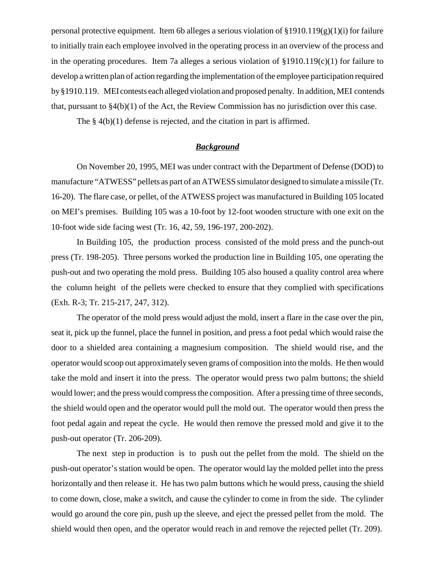personal protective equipment. Item 6b alleges a serious violation of  $\S 1910.119(g)(1)(i)$  for failure to initially train each employee involved in the operating process in an overview of the process and in the operating procedures. Item 7a alleges a serious violation of §1910.119(c)(1) for failure to develop a written plan of action regarding the implementation of the employee participation required by §1910.119. MEI contests each alleged violation and proposed penalty. In addition, MEI contends that, pursuant to §4(b)(1) of the Act, the Review Commission has no jurisdiction over this case.

The § 4(b)(1) defense is rejected, and the citation in part is affirmed.

# *Background*

On November 20, 1995, MEI was under contract with the Department of Defense (DOD) to manufacture "ATWESS" pellets as part of an ATWESS simulator designed to simulate a missile (Tr. 16-20). The flare case, or pellet, of the ATWESS project was manufactured in Building 105 located on MEI's premises. Building 105 was a 10-foot by 12-foot wooden structure with one exit on the 10-foot wide side facing west (Tr. 16, 42, 59, 196-197, 200-202).

In Building 105, the production process consisted of the mold press and the punch-out press (Tr. 198-205). Three persons worked the production line in Building 105, one operating the push-out and two operating the mold press. Building 105 also housed a quality control area where the column height of the pellets were checked to ensure that they complied with specifications (Exh. R-3; Tr. 215-217, 247, 312).

The operator of the mold press would adjust the mold, insert a flare in the case over the pin, seat it, pick up the funnel, place the funnel in position, and press a foot pedal which would raise the door to a shielded area containing a magnesium composition. The shield would rise, and the operator would scoop out approximately seven grams of composition into the molds. He then would take the mold and insert it into the press. The operator would press two palm buttons; the shield would lower; and the press would compress the composition. After a pressing time of three seconds, the shield would open and the operator would pull the mold out. The operator would then press the foot pedal again and repeat the cycle. He would then remove the pressed mold and give it to the push-out operator (Tr. 206-209).

The next step in production is to push out the pellet from the mold. The shield on the push-out operator's station would be open. The operator would lay the molded pellet into the press horizontally and then release it. He has two palm buttons which he would press, causing the shield to come down, close, make a switch, and cause the cylinder to come in from the side. The cylinder would go around the core pin, push up the sleeve, and eject the pressed pellet from the mold. The shield would then open, and the operator would reach in and remove the rejected pellet (Tr. 209).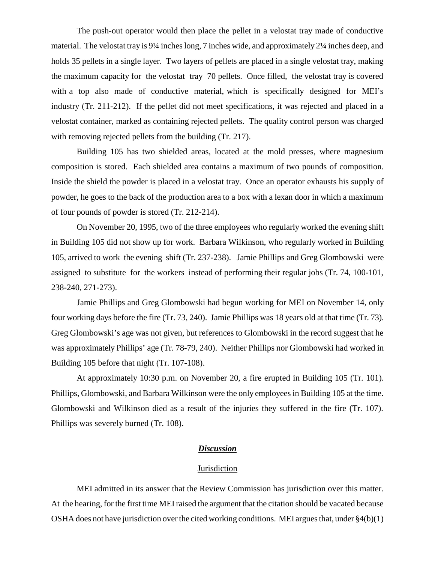The push-out operator would then place the pellet in a velostat tray made of conductive material. The velostat tray is 9¼ inches long, 7 inches wide, and approximately 2¼ inches deep, and holds 35 pellets in a single layer. Two layers of pellets are placed in a single velostat tray, making the maximum capacity for the velostat tray 70 pellets. Once filled, the velostat tray is covered with a top also made of conductive material, which is specifically designed for MEI's industry (Tr. 211-212). If the pellet did not meet specifications, it was rejected and placed in a velostat container, marked as containing rejected pellets. The quality control person was charged with removing rejected pellets from the building (Tr. 217).

Building 105 has two shielded areas, located at the mold presses, where magnesium composition is stored. Each shielded area contains a maximum of two pounds of composition. Inside the shield the powder is placed in a velostat tray. Once an operator exhausts his supply of powder, he goes to the back of the production area to a box with a lexan door in which a maximum of four pounds of powder is stored (Tr. 212-214).

On November 20, 1995, two of the three employees who regularly worked the evening shift in Building 105 did not show up for work. Barbara Wilkinson, who regularly worked in Building 105, arrived to work the evening shift (Tr. 237-238). Jamie Phillips and Greg Glombowski were assigned to substitute for the workers instead of performing their regular jobs (Tr. 74, 100-101, 238-240, 271-273).

Jamie Phillips and Greg Glombowski had begun working for MEI on November 14, only four working days before the fire (Tr. 73, 240). Jamie Phillips was 18 years old at that time (Tr. 73). Greg Glombowski's age was not given, but references to Glombowski in the record suggest that he was approximately Phillips' age (Tr. 78-79, 240). Neither Phillips nor Glombowski had worked in Building 105 before that night (Tr. 107-108).

At approximately 10:30 p.m. on November 20, a fire erupted in Building 105 (Tr. 101). Phillips, Glombowski, and Barbara Wilkinson were the only employees in Building 105 at the time. Glombowski and Wilkinson died as a result of the injuries they suffered in the fire (Tr. 107). Phillips was severely burned (Tr. 108).

## *Discussion*

#### **Jurisdiction**

MEI admitted in its answer that the Review Commission has jurisdiction over this matter. At the hearing, for the first time MEI raised the argument that the citation should be vacated because OSHA does not have jurisdiction over the cited working conditions. MEI argues that, under §4(b)(1)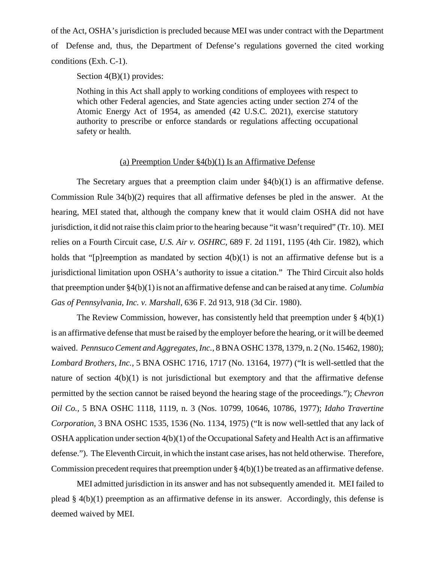of the Act, OSHA's jurisdiction is precluded because MEI was under contract with the Department of Defense and, thus, the Department of Defense's regulations governed the cited working conditions (Exh. C-1).

Section  $4(B)(1)$  provides:

Nothing in this Act shall apply to working conditions of employees with respect to which other Federal agencies, and State agencies acting under section 274 of the Atomic Energy Act of 1954, as amended (42 U.S.C. 2021), exercise statutory authority to prescribe or enforce standards or regulations affecting occupational safety or health.

## (a) Preemption Under §4(b)(1) Is an Affirmative Defense

The Secretary argues that a preemption claim under §4(b)(1) is an affirmative defense. Commission Rule 34(b)(2) requires that all affirmative defenses be pled in the answer. At the hearing, MEI stated that, although the company knew that it would claim OSHA did not have jurisdiction, it did not raise this claim prior to the hearing because "it wasn't required" (Tr. 10). MEI relies on a Fourth Circuit case, *U.S. Air v. OSHRC,* 689 F. 2d 1191, 1195 (4th Cir. 1982), which holds that "[p]reemption as mandated by section  $4(b)(1)$  is not an affirmative defense but is a jurisdictional limitation upon OSHA's authority to issue a citation." The Third Circuit also holds that preemption under §4(b)(1) is not an affirmative defense and can be raised at any time. *Columbia Gas of Pennsylvania, Inc. v. Marshall,* 636 F. 2d 913, 918 (3d Cir. 1980).

The Review Commission, however, has consistently held that preemption under  $\S 4(b)(1)$ is an affirmative defense that must be raised by the employer before the hearing, or it will be deemed waived. *Pennsuco Cement and Aggregates, Inc.*, 8 BNA OSHC 1378, 1379, n. 2 (No. 15462, 1980); *Lombard Brothers, Inc.,* 5 BNA OSHC 1716, 1717 (No. 13164, 1977) ("It is well-settled that the nature of section 4(b)(1) is not jurisdictional but exemptory and that the affirmative defense permitted by the section cannot be raised beyond the hearing stage of the proceedings."); *Chevron Oil Co.,* 5 BNA OSHC 1118, 1119, n. 3 (Nos. 10799, 10646, 10786, 1977); *Idaho Travertine Corporation*, 3 BNA OSHC 1535, 1536 (No. 1134, 1975) ("It is now well-settled that any lack of OSHA application under section 4(b)(1) of the Occupational Safety and Health Act is an affirmative defense."). The Eleventh Circuit, in which the instant case arises, has not held otherwise. Therefore, Commission precedent requires that preemption under  $\S 4(b)(1)$  be treated as an affirmative defense.

MEI admitted jurisdiction in its answer and has not subsequently amended it. MEI failed to plead  $\S$  4(b)(1) preemption as an affirmative defense in its answer. Accordingly, this defense is deemed waived by MEI.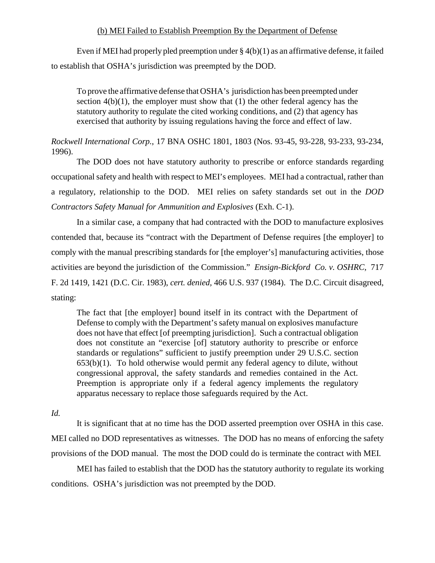## (b) MEI Failed to Establish Preemption By the Department of Defense

Even if MEI had properly pled preemption under  $\S 4(b)(1)$  as an affirmative defense, it failed to establish that OSHA's jurisdiction was preempted by the DOD.

To prove the affirmative defense that OSHA's jurisdiction has been preempted under section  $4(b)(1)$ , the employer must show that  $(1)$  the other federal agency has the statutory authority to regulate the cited working conditions, and (2) that agency has exercised that authority by issuing regulations having the force and effect of law.

*Rockwell International Corp.*, 17 BNA OSHC 1801, 1803 (Nos. 93-45, 93-228, 93-233, 93-234, 1996).

The DOD does not have statutory authority to prescribe or enforce standards regarding occupational safety and health with respect to MEI's employees. MEI had a contractual, rather than a regulatory, relationship to the DOD. MEI relies on safety standards set out in the *DOD Contractors Safety Manual for Ammunition and Explosives* (Exh. C-1).

In a similar case, a company that had contracted with the DOD to manufacture explosives contended that, because its "contract with the Department of Defense requires [the employer] to comply with the manual prescribing standards for [the employer's] manufacturing activities, those activities are beyond the jurisdiction of the Commission." *Ensign-Bickford Co. v. OSHRC,* 717 F. 2d 1419, 1421 (D.C. Cir. 1983), *cert. denied,* 466 U.S. 937 (1984). The D.C. Circuit disagreed, stating:

The fact that [the employer] bound itself in its contract with the Department of Defense to comply with the Department's safety manual on explosives manufacture does not have that effect [of preempting jurisdiction]. Such a contractual obligation does not constitute an "exercise [of] statutory authority to prescribe or enforce standards or regulations" sufficient to justify preemption under 29 U.S.C. section  $653(b)(1)$ . To hold otherwise would permit any federal agency to dilute, without congressional approval, the safety standards and remedies contained in the Act. Preemption is appropriate only if a federal agency implements the regulatory apparatus necessary to replace those safeguards required by the Act.

*Id.* 

It is significant that at no time has the DOD asserted preemption over OSHA in this case. MEI called no DOD representatives as witnesses. The DOD has no means of enforcing the safety provisions of the DOD manual. The most the DOD could do is terminate the contract with MEI.

MEI has failed to establish that the DOD has the statutory authority to regulate its working conditions. OSHA's jurisdiction was not preempted by the DOD.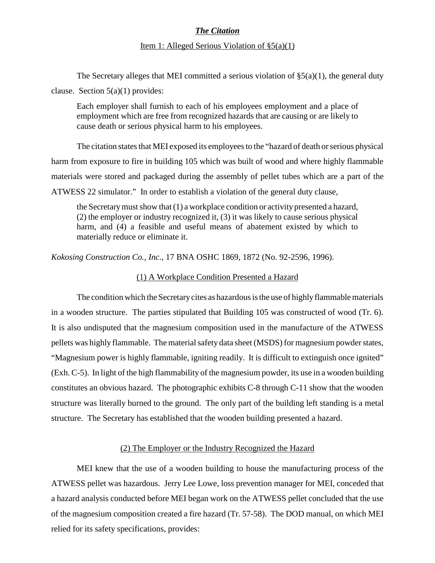# *The Citation*

### Item 1: Alleged Serious Violation of §5(a)(1)

The Secretary alleges that MEI committed a serious violation of  $\S(6)(1)$ , the general duty clause. Section  $5(a)(1)$  provides:

Each employer shall furnish to each of his employees employment and a place of employment which are free from recognized hazards that are causing or are likely to cause death or serious physical harm to his employees.

The citation states that MEI exposed its employees to the "hazard of death or serious physical harm from exposure to fire in building 105 which was built of wood and where highly flammable materials were stored and packaged during the assembly of pellet tubes which are a part of the ATWESS 22 simulator." In order to establish a violation of the general duty clause,

the Secretary must show that (1) a workplace condition or activity presented a hazard, (2) the employer or industry recognized it, (3) it was likely to cause serious physical harm, and (4) a feasible and useful means of abatement existed by which to materially reduce or eliminate it.

*Kokosing Construction Co., Inc.,* 17 BNA OSHC 1869, 1872 (No. 92-2596, 1996).

### (1) A Workplace Condition Presented a Hazard

The condition which the Secretary cites as hazardous is the use of highly flammable materials in a wooden structure. The parties stipulated that Building 105 was constructed of wood (Tr. 6). It is also undisputed that the magnesium composition used in the manufacture of the ATWESS pellets was highly flammable. The material safety data sheet (MSDS) for magnesium powder states, "Magnesium power is highly flammable, igniting readily. It is difficult to extinguish once ignited" (Exh. C-5). In light of the high flammability of the magnesium powder, its use in a wooden building constitutes an obvious hazard. The photographic exhibits C-8 through C-11 show that the wooden structure was literally burned to the ground. The only part of the building left standing is a metal structure. The Secretary has established that the wooden building presented a hazard.

### (2) The Employer or the Industry Recognized the Hazard

MEI knew that the use of a wooden building to house the manufacturing process of the ATWESS pellet was hazardous. Jerry Lee Lowe, loss prevention manager for MEI, conceded that a hazard analysis conducted before MEI began work on the ATWESS pellet concluded that the use of the magnesium composition created a fire hazard (Tr. 57-58). The DOD manual, on which MEI relied for its safety specifications, provides: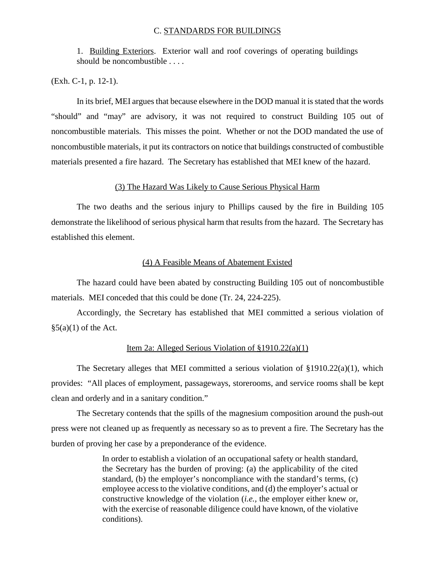### C. STANDARDS FOR BUILDINGS

1. Building Exteriors. Exterior wall and roof coverings of operating buildings should be noncombustible . . . .

(Exh. C-1, p. 12-1).

In its brief, MEI argues that because elsewhere in the DOD manual it is stated that the words "should" and "may" are advisory, it was not required to construct Building 105 out of noncombustible materials. This misses the point. Whether or not the DOD mandated the use of noncombustible materials, it put its contractors on notice that buildings constructed of combustible materials presented a fire hazard. The Secretary has established that MEI knew of the hazard.

#### (3) The Hazard Was Likely to Cause Serious Physical Harm

The two deaths and the serious injury to Phillips caused by the fire in Building 105 demonstrate the likelihood of serious physical harm that results from the hazard. The Secretary has established this element.

#### (4) A Feasible Means of Abatement Existed

The hazard could have been abated by constructing Building 105 out of noncombustible materials. MEI conceded that this could be done (Tr. 24, 224-225).

Accordingly, the Secretary has established that MEI committed a serious violation of  $\S5(a)(1)$  of the Act.

## Item 2a: Alleged Serious Violation of §1910.22(a)(1)

The Secretary alleges that MEI committed a serious violation of  $\S 1910.22(a)(1)$ , which provides: "All places of employment, passageways, storerooms, and service rooms shall be kept clean and orderly and in a sanitary condition."

The Secretary contends that the spills of the magnesium composition around the push-out press were not cleaned up as frequently as necessary so as to prevent a fire. The Secretary has the burden of proving her case by a preponderance of the evidence.

> In order to establish a violation of an occupational safety or health standard, the Secretary has the burden of proving: (a) the applicability of the cited standard, (b) the employer's noncompliance with the standard's terms, (c) employee access to the violative conditions, and (d) the employer's actual or constructive knowledge of the violation (*i.e.,* the employer either knew or, with the exercise of reasonable diligence could have known, of the violative conditions).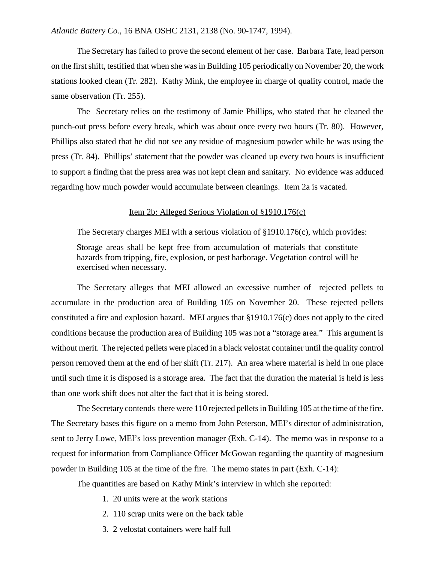## *Atlantic Battery Co.,* 16 BNA OSHC 2131, 2138 (No. 90-1747, 1994).

The Secretary has failed to prove the second element of her case. Barbara Tate, lead person on the first shift, testified that when she was in Building 105 periodically on November 20, the work stations looked clean (Tr. 282). Kathy Mink, the employee in charge of quality control, made the same observation (Tr. 255).

The Secretary relies on the testimony of Jamie Phillips, who stated that he cleaned the punch-out press before every break, which was about once every two hours (Tr. 80). However, Phillips also stated that he did not see any residue of magnesium powder while he was using the press (Tr. 84). Phillips' statement that the powder was cleaned up every two hours is insufficient to support a finding that the press area was not kept clean and sanitary. No evidence was adduced regarding how much powder would accumulate between cleanings. Item 2a is vacated.

#### Item 2b: Alleged Serious Violation of §1910.176(c)

The Secretary charges MEI with a serious violation of §1910.176(c), which provides: Storage areas shall be kept free from accumulation of materials that constitute hazards from tripping, fire, explosion, or pest harborage. Vegetation control will be exercised when necessary.

The Secretary alleges that MEI allowed an excessive number of rejected pellets to accumulate in the production area of Building 105 on November 20. These rejected pellets constituted a fire and explosion hazard. MEI argues that §1910.176(c) does not apply to the cited conditions because the production area of Building 105 was not a "storage area." This argument is without merit. The rejected pellets were placed in a black velostat container until the quality control person removed them at the end of her shift (Tr. 217). An area where material is held in one place until such time it is disposed is a storage area. The fact that the duration the material is held is less than one work shift does not alter the fact that it is being stored.

The Secretary contends there were 110 rejected pellets in Building 105 at the time of the fire. The Secretary bases this figure on a memo from John Peterson, MEI's director of administration, sent to Jerry Lowe, MEI's loss prevention manager (Exh. C-14). The memo was in response to a request for information from Compliance Officer McGowan regarding the quantity of magnesium powder in Building 105 at the time of the fire. The memo states in part (Exh. C-14):

The quantities are based on Kathy Mink's interview in which she reported:

- 1. 20 units were at the work stations
- 2. 110 scrap units were on the back table
- 3. 2 velostat containers were half full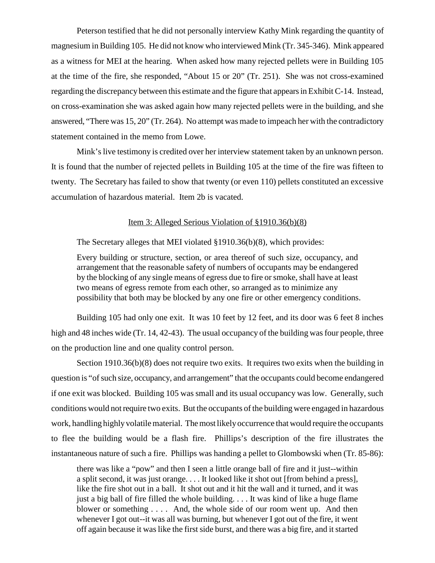Peterson testified that he did not personally interview Kathy Mink regarding the quantity of magnesium in Building 105. He did not know who interviewed Mink (Tr. 345-346). Mink appeared as a witness for MEI at the hearing. When asked how many rejected pellets were in Building 105 at the time of the fire, she responded, "About 15 or 20" (Tr. 251). She was not cross-examined regarding the discrepancy between this estimate and the figure that appears in Exhibit C-14. Instead, on cross-examination she was asked again how many rejected pellets were in the building, and she answered, "There was 15, 20" (Tr. 264). No attempt was made to impeach her with the contradictory statement contained in the memo from Lowe.

Mink's live testimony is credited over her interview statement taken by an unknown person. It is found that the number of rejected pellets in Building 105 at the time of the fire was fifteen to twenty. The Secretary has failed to show that twenty (or even 110) pellets constituted an excessive accumulation of hazardous material. Item 2b is vacated.

### Item 3: Alleged Serious Violation of §1910.36(b)(8)

The Secretary alleges that MEI violated §1910.36(b)(8), which provides:

Every building or structure, section, or area thereof of such size, occupancy, and arrangement that the reasonable safety of numbers of occupants may be endangered by the blocking of any single means of egress due to fire or smoke, shall have at least two means of egress remote from each other, so arranged as to minimize any possibility that both may be blocked by any one fire or other emergency conditions.

Building 105 had only one exit. It was 10 feet by 12 feet, and its door was 6 feet 8 inches high and 48 inches wide (Tr. 14, 42-43). The usual occupancy of the building was four people, three on the production line and one quality control person.

Section 1910.36(b)(8) does not require two exits. It requires two exits when the building in question is "of such size, occupancy, and arrangement" that the occupants could become endangered if one exit was blocked. Building 105 was small and its usual occupancy was low. Generally, such conditions would not require two exits. But the occupants of the building were engaged in hazardous work, handling highly volatile material. The most likely occurrence that would require the occupants to flee the building would be a flash fire. Phillips's description of the fire illustrates the instantaneous nature of such a fire. Phillips was handing a pellet to Glombowski when (Tr. 85-86):

there was like a "pow" and then I seen a little orange ball of fire and it just--within a split second, it was just orange. . . . It looked like it shot out [from behind a press], like the fire shot out in a ball. It shot out and it hit the wall and it turned, and it was just a big ball of fire filled the whole building. . . . It was kind of like a huge flame blower or something . . . . And, the whole side of our room went up. And then whenever I got out--it was all was burning, but whenever I got out of the fire, it went off again because it was like the first side burst, and there was a big fire, and it started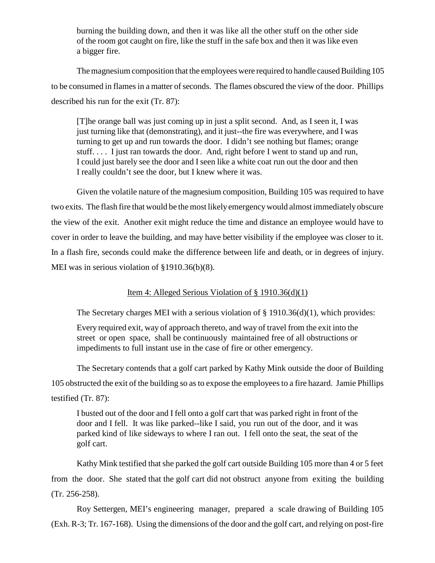burning the building down, and then it was like all the other stuff on the other side of the room got caught on fire, like the stuff in the safe box and then it was like even a bigger fire.

The magnesium composition that the employees were required to handle caused Building 105 to be consumed in flames in a matter of seconds. The flames obscured the view of the door. Phillips described his run for the exit (Tr. 87):

[T]he orange ball was just coming up in just a split second. And, as I seen it, I was just turning like that (demonstrating), and it just--the fire was everywhere, and I was turning to get up and run towards the door. I didn't see nothing but flames; orange stuff. . . . I just ran towards the door. And, right before I went to stand up and run, I could just barely see the door and I seen like a white coat run out the door and then I really couldn't see the door, but I knew where it was.

Given the volatile nature of the magnesium composition, Building 105 was required to have two exits. The flash fire that would be the most likely emergency would almost immediately obscure the view of the exit. Another exit might reduce the time and distance an employee would have to cover in order to leave the building, and may have better visibility if the employee was closer to it. In a flash fire, seconds could make the difference between life and death, or in degrees of injury. MEI was in serious violation of §1910.36(b)(8).

# Item 4: Alleged Serious Violation of § 1910.36(d)(1)

The Secretary charges MEI with a serious violation of § 1910.36(d)(1), which provides:

Every required exit, way of approach thereto, and way of travel from the exit into the street or open space, shall be continuously maintained free of all obstructions or impediments to full instant use in the case of fire or other emergency.

The Secretary contends that a golf cart parked by Kathy Mink outside the door of Building 105 obstructed the exit of the building so as to expose the employees to a fire hazard. Jamie Phillips testified (Tr. 87):

I busted out of the door and I fell onto a golf cart that was parked right in front of the door and I fell. It was like parked--like I said, you run out of the door, and it was parked kind of like sideways to where I ran out. I fell onto the seat, the seat of the golf cart.

Kathy Mink testified that she parked the golf cart outside Building 105 more than 4 or 5 feet from the door. She stated that the golf cart did not obstruct anyone from exiting the building (Tr. 256-258).

Roy Settergen, MEI's engineering manager, prepared a scale drawing of Building 105 (Exh. R-3; Tr. 167-168). Using the dimensions of the door and the golf cart, and relying on post-fire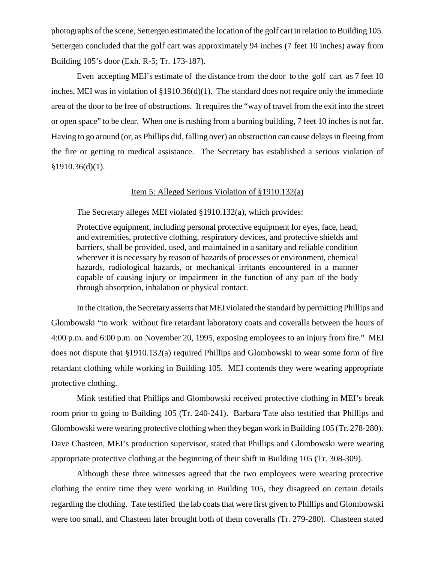photographs of the scene, Settergen estimated the location of the golf cart in relation to Building 105. Settergen concluded that the golf cart was approximately 94 inches (7 feet 10 inches) away from Building 105's door (Exh. R-5; Tr. 173-187).

Even accepting MEI's estimate of the distance from the door to the golf cart as 7 feet 10 inches, MEI was in violation of §1910.36(d)(1). The standard does not require only the immediate area of the door to be free of obstructions. It requires the "way of travel from the exit into the street or open space" to be clear. When one is rushing from a burning building, 7 feet 10 inches is not far. Having to go around (or, as Phillips did, falling over) an obstruction can cause delays in fleeing from the fire or getting to medical assistance. The Secretary has established a serious violation of §1910.36(d)(1).

### Item 5: Alleged Serious Violation of §1910.132(a)

The Secretary alleges MEI violated §1910.132(a), which provides:

Protective equipment, including personal protective equipment for eyes, face, head, and extremities, protective clothing, respiratory devices, and protective shields and barriers, shall be provided, used, and maintained in a sanitary and reliable condition wherever it is necessary by reason of hazards of processes or environment, chemical hazards, radiological hazards, or mechanical irritants encountered in a manner capable of causing injury or impairment in the function of any part of the body through absorption, inhalation or physical contact.

In the citation, the Secretary asserts that MEI violated the standard by permitting Phillips and Glombowski "to work without fire retardant laboratory coats and coveralls between the hours of 4:00 p.m. and 6:00 p.m. on November 20, 1995, exposing employees to an injury from fire." MEI does not dispute that §1910.132(a) required Phillips and Glombowski to wear some form of fire retardant clothing while working in Building 105. MEI contends they were wearing appropriate protective clothing.

Mink testified that Phillips and Glombowski received protective clothing in MEI's break room prior to going to Building 105 (Tr. 240-241). Barbara Tate also testified that Phillips and Glombowski were wearing protective clothing when they began work in Building 105 (Tr. 278-280). Dave Chasteen, MEI's production supervisor, stated that Phillips and Glombowski were wearing appropriate protective clothing at the beginning of their shift in Building 105 (Tr. 308-309).

Although these three witnesses agreed that the two employees were wearing protective clothing the entire time they were working in Building 105, they disagreed on certain details regarding the clothing. Tate testified the lab coats that were first given to Phillips and Glombowski were too small, and Chasteen later brought both of them coveralls (Tr. 279-280). Chasteen stated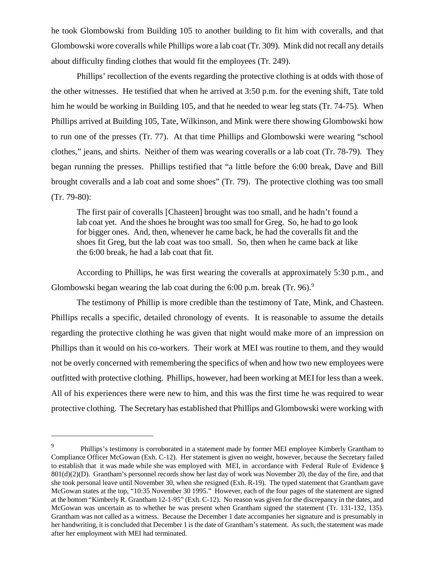he took Glombowski from Building 105 to another building to fit him with coveralls, and that Glombowski wore coveralls while Phillips wore a lab coat (Tr. 309). Mink did not recall any details about difficulty finding clothes that would fit the employees (Tr. 249).

Phillips' recollection of the events regarding the protective clothing is at odds with those of the other witnesses. He testified that when he arrived at 3:50 p.m. for the evening shift, Tate told him he would be working in Building 105, and that he needed to wear leg stats (Tr. 74-75). When Phillips arrived at Building 105, Tate, Wilkinson, and Mink were there showing Glombowski how to run one of the presses (Tr. 77). At that time Phillips and Glombowski were wearing "school clothes," jeans, and shirts. Neither of them was wearing coveralls or a lab coat (Tr. 78-79). They began running the presses. Phillips testified that "a little before the 6:00 break, Dave and Bill brought coveralls and a lab coat and some shoes" (Tr. 79). The protective clothing was too small (Tr. 79-80):

The first pair of coveralls [Chasteen] brought was too small, and he hadn't found a lab coat yet. And the shoes he brought was too small for Greg. So, he had to go look for bigger ones. And, then, whenever he came back, he had the coveralls fit and the shoes fit Greg, but the lab coat was too small. So, then when he came back at like the 6:00 break, he had a lab coat that fit.

According to Phillips, he was first wearing the coveralls at approximately 5:30 p.m., and Glombowski began wearing the lab coat during the 6:00 p.m. break  $(Tr. 96)^9$ .

The testimony of Phillip is more credible than the testimony of Tate, Mink, and Chasteen. Phillips recalls a specific, detailed chronology of events. It is reasonable to assume the details regarding the protective clothing he was given that night would make more of an impression on Phillips than it would on his co-workers. Their work at MEI was routine to them, and they would not be overly concerned with remembering the specifics of when and how two new employees were outfitted with protective clothing. Phillips, however, had been working at MEI for less than a week. All of his experiences there were new to him, and this was the first time he was required to wear protective clothing. The Secretary has established that Phillips and Glombowski were working with

<sup>9</sup> Phillips's testimony is corroborated in a statement made by former MEI employee Kimberly Grantham to Compliance Officer McGowan (Exh. C-12). Her statement is given no weight, however, because the Secretary failed to establish that it was made while she was employed with MEI, in accordance with Federal Rule of Evidence § 801(d)(2)(D). Grantham's personnel records show her last day of work was November 20, the day of the fire, and that she took personal leave until November 30, when she resigned (Exh. R-19). The typed statement that Grantham gave McGowan states at the top, "10:35 November 30 1995." However, each of the four pages of the statement are signed at the bottom "Kimberly R. Grantham 12-1-95" (Exh. C-12). No reason was given for the discrepancy in the dates, and McGowan was uncertain as to whether he was present when Grantham signed the statement (Tr. 131-132, 135). Grantham was not called as a witness. Because the December 1 date accompanies her signature and is presumably in her handwriting, it is concluded that December 1 is the date of Grantham's statement. As such, the statement was made after her employment with MEI had terminated.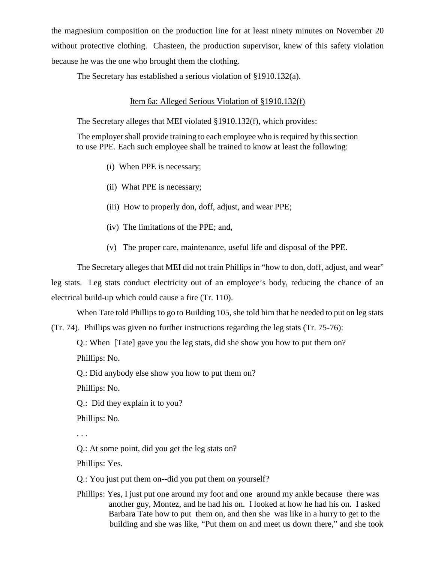the magnesium composition on the production line for at least ninety minutes on November 20 without protective clothing. Chasteen, the production supervisor, knew of this safety violation because he was the one who brought them the clothing.

The Secretary has established a serious violation of §1910.132(a).

## Item 6a: Alleged Serious Violation of §1910.132(f)

The Secretary alleges that MEI violated §1910.132(f), which provides:

The employer shall provide training to each employee who is required by this section to use PPE. Each such employee shall be trained to know at least the following:

- (i) When PPE is necessary;
- (ii) What PPE is necessary;
- (iii) How to properly don, doff, adjust, and wear PPE;
- (iv) The limitations of the PPE; and,
- (v) The proper care, maintenance, useful life and disposal of the PPE.

The Secretary alleges that MEI did not train Phillips in "how to don, doff, adjust, and wear" leg stats. Leg stats conduct electricity out of an employee's body, reducing the chance of an electrical build-up which could cause a fire (Tr. 110).

When Tate told Phillips to go to Building 105, she told him that he needed to put on leg stats

(Tr. 74). Phillips was given no further instructions regarding the leg stats (Tr. 75-76):

Q.: When [Tate] gave you the leg stats, did she show you how to put them on?

Phillips: No.

Q.: Did anybody else show you how to put them on?

Phillips: No.

Q.: Did they explain it to you?

Phillips: No.

. . .

Q.: At some point, did you get the leg stats on?

Phillips: Yes.

Q.: You just put them on--did you put them on yourself?

Phillips: Yes, I just put one around my foot and one around my ankle because there was another guy, Montez, and he had his on. I looked at how he had his on. I asked Barbara Tate how to put them on, and then she was like in a hurry to get to the building and she was like, "Put them on and meet us down there," and she took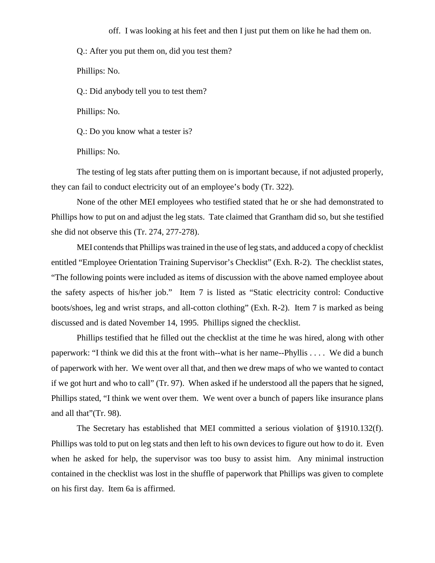off. I was looking at his feet and then I just put them on like he had them on.

Q.: After you put them on, did you test them?

Phillips: No.

Q.: Did anybody tell you to test them?

Phillips: No.

Q.: Do you know what a tester is?

Phillips: No.

The testing of leg stats after putting them on is important because, if not adjusted properly, they can fail to conduct electricity out of an employee's body (Tr. 322).

None of the other MEI employees who testified stated that he or she had demonstrated to Phillips how to put on and adjust the leg stats. Tate claimed that Grantham did so, but she testified she did not observe this (Tr. 274, 277-278).

MEI contends that Phillips was trained in the use of leg stats, and adduced a copy of checklist entitled "Employee Orientation Training Supervisor's Checklist" (Exh. R-2). The checklist states, "The following points were included as items of discussion with the above named employee about the safety aspects of his/her job." Item 7 is listed as "Static electricity control: Conductive boots/shoes, leg and wrist straps, and all-cotton clothing" (Exh. R-2). Item 7 is marked as being discussed and is dated November 14, 1995. Phillips signed the checklist.

Phillips testified that he filled out the checklist at the time he was hired, along with other paperwork: "I think we did this at the front with--what is her name--Phyllis . . . . We did a bunch of paperwork with her. We went over all that, and then we drew maps of who we wanted to contact if we got hurt and who to call" (Tr. 97). When asked if he understood all the papers that he signed, Phillips stated, "I think we went over them. We went over a bunch of papers like insurance plans and all that"(Tr. 98).

The Secretary has established that MEI committed a serious violation of §1910.132(f). Phillips was told to put on leg stats and then left to his own devices to figure out how to do it. Even when he asked for help, the supervisor was too busy to assist him. Any minimal instruction contained in the checklist was lost in the shuffle of paperwork that Phillips was given to complete on his first day. Item 6a is affirmed.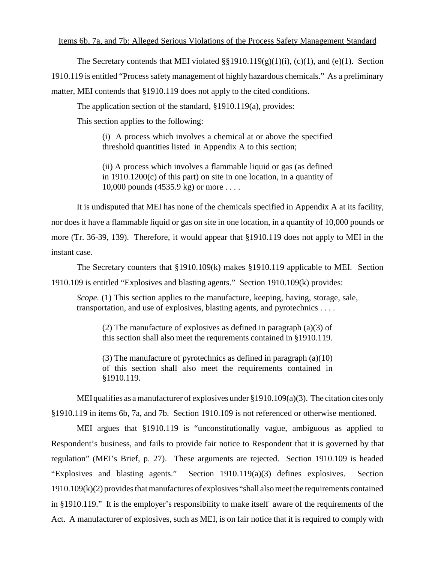#### Items 6b, 7a, and 7b: Alleged Serious Violations of the Process Safety Management Standard

The Secretary contends that MEI violated  $\S$ §1910.119(g)(1)(i), (c)(1), and (e)(1). Section 1910.119 is entitled "Process safety management of highly hazardous chemicals." As a preliminary matter, MEI contends that §1910.119 does not apply to the cited conditions.

The application section of the standard, §1910.119(a), provides:

This section applies to the following:

(i) A process which involves a chemical at or above the specified threshold quantities listed in Appendix A to this section;

(ii) A process which involves a flammable liquid or gas (as defined in 1910.1200(c) of this part) on site in one location, in a quantity of 10,000 pounds (4535.9 kg) or more . . . .

It is undisputed that MEI has none of the chemicals specified in Appendix A at its facility, nor does it have a flammable liquid or gas on site in one location, in a quantity of 10,000 pounds or more (Tr. 36-39, 139). Therefore, it would appear that §1910.119 does not apply to MEI in the instant case.

The Secretary counters that §1910.109(k) makes §1910.119 applicable to MEI. Section 1910.109 is entitled "Explosives and blasting agents." Section 1910.109(k) provides:

*Scope.* (1) This section applies to the manufacture, keeping, having, storage, sale, transportation, and use of explosives, blasting agents, and pyrotechnics . . . .

(2) The manufacture of explosives as defined in paragraph (a)(3) of this section shall also meet the requrements contained in §1910.119.

(3) The manufacture of pyrotechnics as defined in paragraph (a)(10) of this section shall also meet the requirements contained in §1910.119.

MEI qualifies as a manufacturer of explosives under §1910.109(a)(3). The citation cites only §1910.119 in items 6b, 7a, and 7b. Section 1910.109 is not referenced or otherwise mentioned.

MEI argues that §1910.119 is "unconstitutionally vague, ambiguous as applied to Respondent's business, and fails to provide fair notice to Respondent that it is governed by that regulation" (MEI's Brief, p. 27). These arguments are rejected. Section 1910.109 is headed "Explosives and blasting agents." Section 1910.119(a)(3) defines explosives. Section 1910.109(k)(2) provides that manufactures of explosives "shall also meet the requirements contained in §1910.119." It is the employer's responsibility to make itself aware of the requirements of the Act. A manufacturer of explosives, such as MEI, is on fair notice that it is required to comply with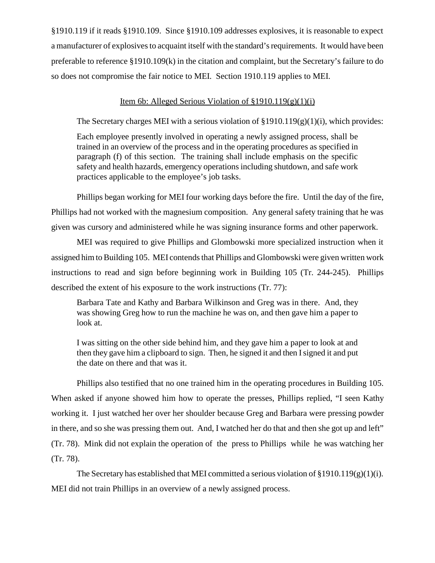§1910.119 if it reads §1910.109. Since §1910.109 addresses explosives, it is reasonable to expect a manufacturer of explosives to acquaint itself with the standard's requirements. It would have been preferable to reference §1910.109(k) in the citation and complaint, but the Secretary's failure to do so does not compromise the fair notice to MEI. Section 1910.119 applies to MEI.

# Item 6b: Alleged Serious Violation of  $\S 1910.119(g)(1)(i)$

The Secretary charges MEI with a serious violation of  $\S 1910.119(g)(1)(i)$ , which provides:

Each employee presently involved in operating a newly assigned process, shall be trained in an overview of the process and in the operating procedures as specified in paragraph (f) of this section. The training shall include emphasis on the specific safety and health hazards, emergency operations including shutdown, and safe work practices applicable to the employee's job tasks.

Phillips began working for MEI four working days before the fire. Until the day of the fire, Phillips had not worked with the magnesium composition. Any general safety training that he was given was cursory and administered while he was signing insurance forms and other paperwork.

MEI was required to give Phillips and Glombowski more specialized instruction when it assigned him to Building 105. MEI contends that Phillips and Glombowski were given written work instructions to read and sign before beginning work in Building 105 (Tr. 244-245). Phillips described the extent of his exposure to the work instructions (Tr. 77):

Barbara Tate and Kathy and Barbara Wilkinson and Greg was in there. And, they was showing Greg how to run the machine he was on, and then gave him a paper to look at.

I was sitting on the other side behind him, and they gave him a paper to look at and then they gave him a clipboard to sign. Then, he signed it and then I signed it and put the date on there and that was it.

Phillips also testified that no one trained him in the operating procedures in Building 105. When asked if anyone showed him how to operate the presses, Phillips replied, "I seen Kathy working it. I just watched her over her shoulder because Greg and Barbara were pressing powder in there, and so she was pressing them out. And, I watched her do that and then she got up and left" (Tr. 78). Mink did not explain the operation of the press to Phillips while he was watching her (Tr. 78).

The Secretary has established that MEI committed a serious violation of  $\S 1910.119(g)(1)(i)$ . MEI did not train Phillips in an overview of a newly assigned process.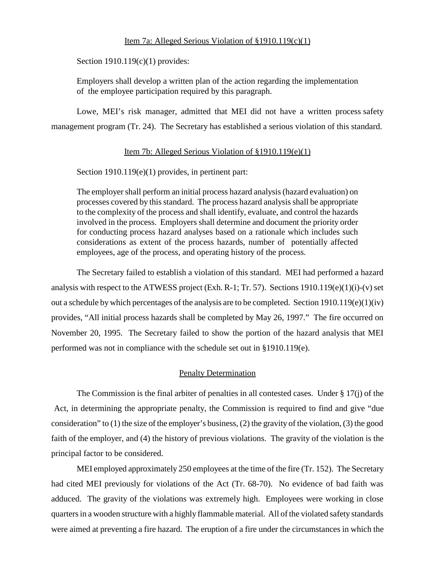## Item 7a: Alleged Serious Violation of §1910.119(c)(1)

Section 1910.119(c)(1) provides:

Employers shall develop a written plan of the action regarding the implementation of the employee participation required by this paragraph.

 Lowe, MEI's risk manager, admitted that MEI did not have a written process safety management program (Tr. 24). The Secretary has established a serious violation of this standard.

## Item 7b: Alleged Serious Violation of §1910.119(e)(1)

Section 1910.119(e)(1) provides, in pertinent part:

The employer shall perform an initial process hazard analysis (hazard evaluation) on processes covered by this standard. The process hazard analysis shall be appropriate to the complexity of the process and shall identify, evaluate, and control the hazards involved in the process. Employers shall determine and document the priority order for conducting process hazard analyses based on a rationale which includes such considerations as extent of the process hazards, number of potentially affected employees, age of the process, and operating history of the process.

The Secretary failed to establish a violation of this standard. MEI had performed a hazard analysis with respect to the ATWESS project (Exh. R-1; Tr. 57). Sections 1910.119(e)(1)(i)-(v) set out a schedule by which percentages of the analysis are to be completed. Section 1910.119(e)(1)(iv) provides, "All initial process hazards shall be completed by May 26, 1997." The fire occurred on November 20, 1995. The Secretary failed to show the portion of the hazard analysis that MEI performed was not in compliance with the schedule set out in §1910.119(e).

# Penalty Determination

The Commission is the final arbiter of penalties in all contested cases. Under § 17(j) of the Act, in determining the appropriate penalty, the Commission is required to find and give "due consideration" to (1) the size of the employer's business, (2) the gravity of the violation, (3) the good faith of the employer, and (4) the history of previous violations. The gravity of the violation is the principal factor to be considered.

MEI employed approximately 250 employees at the time of the fire (Tr. 152). The Secretary had cited MEI previously for violations of the Act (Tr. 68-70). No evidence of bad faith was adduced. The gravity of the violations was extremely high. Employees were working in close quarters in a wooden structure with a highly flammable material. All of the violated safety standards were aimed at preventing a fire hazard. The eruption of a fire under the circumstances in which the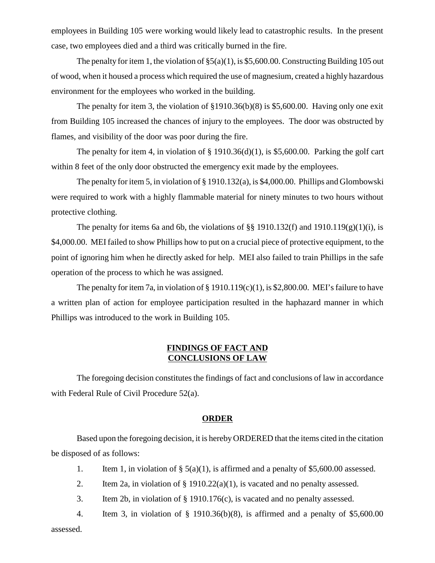employees in Building 105 were working would likely lead to catastrophic results. In the present case, two employees died and a third was critically burned in the fire.

The penalty for item 1, the violation of  $\S5(a)(1)$ , is \$5,600.00. Constructing Building 105 out of wood, when it housed a process which required the use of magnesium, created a highly hazardous environment for the employees who worked in the building.

The penalty for item 3, the violation of  $$1910.36(b)(8)$  is \$5,600.00. Having only one exit from Building 105 increased the chances of injury to the employees. The door was obstructed by flames, and visibility of the door was poor during the fire.

The penalty for item 4, in violation of  $\S$  1910.36(d)(1), is \$5,600.00. Parking the golf cart within 8 feet of the only door obstructed the emergency exit made by the employees.

The penalty for item 5, in violation of § 1910.132(a), is \$4,000.00. Phillips and Glombowski were required to work with a highly flammable material for ninety minutes to two hours without protective clothing.

The penalty for items 6a and 6b, the violations of §§ 1910.132(f) and 1910.119(g)(1)(i), is \$4,000.00. MEI failed to show Phillips how to put on a crucial piece of protective equipment, to the point of ignoring him when he directly asked for help. MEI also failed to train Phillips in the safe operation of the process to which he was assigned.

The penalty for item 7a, in violation of  $\S 1910.119(c)(1)$ , is \$2,800.00. MEI's failure to have a written plan of action for employee participation resulted in the haphazard manner in which Phillips was introduced to the work in Building 105.

# **FINDINGS OF FACT AND CONCLUSIONS OF LAW**

The foregoing decision constitutes the findings of fact and conclusions of law in accordance with Federal Rule of Civil Procedure 52(a).

### **ORDER**

Based upon the foregoing decision, it is hereby ORDERED that the items cited in the citation be disposed of as follows:

- 1. Item 1, in violation of  $\S$  5(a)(1), is affirmed and a penalty of \$5,600.00 assessed.
- 2. Item 2a, in violation of  $\S$  1910.22(a)(1), is vacated and no penalty assessed.
- 3. Item 2b, in violation of § 1910.176(c), is vacated and no penalty assessed.
- 4. Item 3, in violation of § 1910.36(b)(8), is affirmed and a penalty of \$5,600.00

assessed.